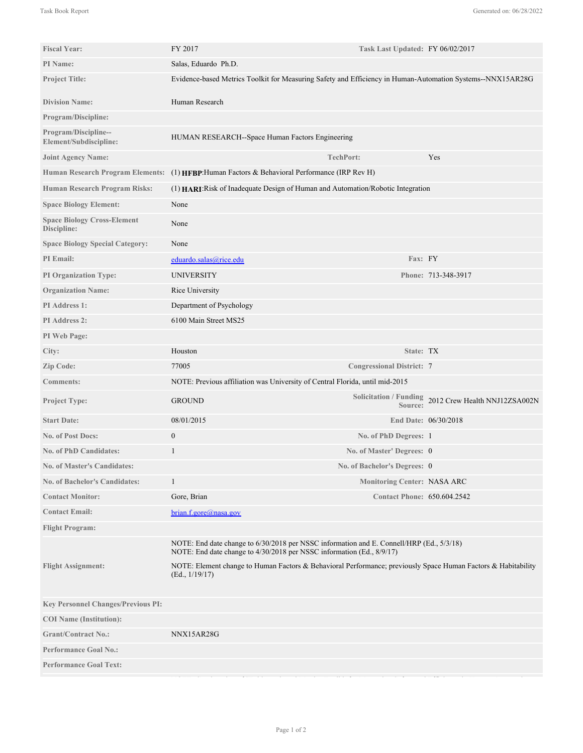| <b>Fiscal Year:</b>                               | FY 2017                                                                                                                                                           | Task Last Updated: FY 06/02/2017   |                                                      |
|---------------------------------------------------|-------------------------------------------------------------------------------------------------------------------------------------------------------------------|------------------------------------|------------------------------------------------------|
| PI Name:                                          | Salas, Eduardo Ph.D.                                                                                                                                              |                                    |                                                      |
| <b>Project Title:</b>                             | Evidence-based Metrics Toolkit for Measuring Safety and Efficiency in Human-Automation Systems--NNX15AR28G                                                        |                                    |                                                      |
| <b>Division Name:</b>                             | Human Research                                                                                                                                                    |                                    |                                                      |
| <b>Program/Discipline:</b>                        |                                                                                                                                                                   |                                    |                                                      |
| Program/Discipline--<br>Element/Subdiscipline:    | HUMAN RESEARCH--Space Human Factors Engineering                                                                                                                   |                                    |                                                      |
| <b>Joint Agency Name:</b>                         |                                                                                                                                                                   | <b>TechPort:</b>                   | Yes                                                  |
|                                                   | Human Research Program Elements: (1) HFBP: Human Factors & Behavioral Performance (IRP Rev H)                                                                     |                                    |                                                      |
| <b>Human Research Program Risks:</b>              | (1) HARI: Risk of Inadequate Design of Human and Automation/Robotic Integration                                                                                   |                                    |                                                      |
| <b>Space Biology Element:</b>                     | None                                                                                                                                                              |                                    |                                                      |
| <b>Space Biology Cross-Element</b><br>Discipline: | None                                                                                                                                                              |                                    |                                                      |
| <b>Space Biology Special Category:</b>            | None                                                                                                                                                              |                                    |                                                      |
| PI Email:                                         | eduardo.salas@rice.edu                                                                                                                                            | Fax: FY                            |                                                      |
| <b>PI Organization Type:</b>                      | <b>UNIVERSITY</b>                                                                                                                                                 |                                    | Phone: 713-348-3917                                  |
| <b>Organization Name:</b>                         | Rice University                                                                                                                                                   |                                    |                                                      |
| PI Address 1:                                     | Department of Psychology                                                                                                                                          |                                    |                                                      |
| <b>PI</b> Address 2:                              | 6100 Main Street MS25                                                                                                                                             |                                    |                                                      |
| PI Web Page:                                      |                                                                                                                                                                   |                                    |                                                      |
| City:                                             | Houston                                                                                                                                                           | State: TX                          |                                                      |
| Zip Code:                                         | 77005                                                                                                                                                             | <b>Congressional District: 7</b>   |                                                      |
| <b>Comments:</b>                                  | NOTE: Previous affiliation was University of Central Florida, until mid-2015                                                                                      |                                    |                                                      |
| Project Type:                                     | <b>GROUND</b>                                                                                                                                                     | Source:                            | Solicitation / Funding 2012 Crew Health NNJ12ZSA002N |
| <b>Start Date:</b>                                | 08/01/2015                                                                                                                                                        |                                    | End Date: 06/30/2018                                 |
| <b>No. of Post Docs:</b>                          | $\boldsymbol{0}$                                                                                                                                                  | No. of PhD Degrees: 1              |                                                      |
| No. of PhD Candidates:                            | 1                                                                                                                                                                 | No. of Master' Degrees: 0          |                                                      |
| No. of Master's Candidates:                       |                                                                                                                                                                   | No. of Bachelor's Degrees: 0       |                                                      |
| <b>No. of Bachelor's Candidates:</b>              | $\mathbf{1}$                                                                                                                                                      | <b>Monitoring Center: NASA ARC</b> |                                                      |
| <b>Contact Monitor:</b>                           | Gore, Brian                                                                                                                                                       | <b>Contact Phone: 650.604.2542</b> |                                                      |
| <b>Contact Email:</b>                             | brain.f.gore@nasa.gov                                                                                                                                             |                                    |                                                      |
| <b>Flight Program:</b>                            |                                                                                                                                                                   |                                    |                                                      |
|                                                   | NOTE: End date change to 6/30/2018 per NSSC information and E. Connell/HRP (Ed., 5/3/18)<br>NOTE: End date change to 4/30/2018 per NSSC information (Ed., 8/9/17) |                                    |                                                      |
| <b>Flight Assignment:</b>                         | NOTE: Element change to Human Factors & Behavioral Performance; previously Space Human Factors & Habitability<br>(Ed., 1/19/17)                                   |                                    |                                                      |
| <b>Key Personnel Changes/Previous PI:</b>         |                                                                                                                                                                   |                                    |                                                      |
| <b>COI</b> Name (Institution):                    |                                                                                                                                                                   |                                    |                                                      |
| <b>Grant/Contract No.:</b>                        | NNX15AR28G                                                                                                                                                        |                                    |                                                      |
| <b>Performance Goal No.:</b>                      |                                                                                                                                                                   |                                    |                                                      |
| <b>Performance Goal Text:</b>                     |                                                                                                                                                                   |                                    |                                                      |
|                                                   |                                                                                                                                                                   |                                    |                                                      |